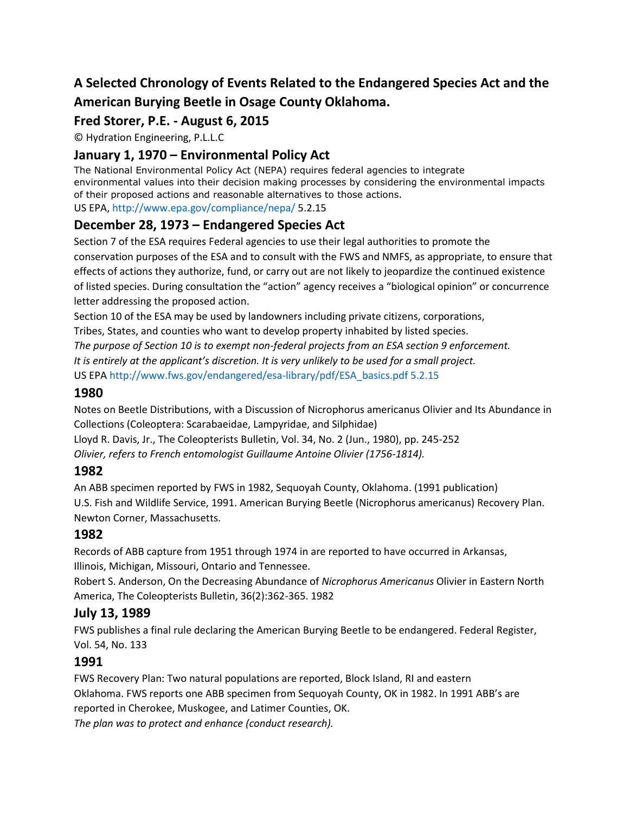# **A Selected Chronology of Events Related to the Endangered Species Act and the American Burying Beetle in Osage County Oklahoma.**

# **Fred Storer, P.E. - August 6, 2015**

© Hydration Engineering, P.L.L.C

# **January 1, 1970 – Environmental Policy Act**

The National Environmental Policy Act (NEPA) requires federal agencies to integrate environmental values into their decision making processes by considering the environmental impacts of their proposed actions and reasonable alternatives to those actions. US EPA, http://www.epa.gov/compliance/nepa/ 5.2.15

## **December 28, 1973 – Endangered Species Act**

Section 7 of the ESA requires Federal agencies to use their legal authorities to promote the conservation purposes of the ESA and to consult with the FWS and NMFS, as appropriate, to ensure that effects of actions they authorize, fund, or carry out are not likely to jeopardize the continued existence of listed species. During consultation the "action" agency receives a "biological opinion" or concurrence letter addressing the proposed action.

Section 10 of the ESA may be used by landowners including private citizens, corporations,

Tribes, States, and counties who want to develop property inhabited by listed species.

*The purpose of Section 10 is to exempt non-federal projects from an ESA section 9 enforcement. It is entirely at the applicant's discretion. It is very unlikely to be used for a small project.*

US EPA http://www.fws.gov/endangered/esa-library/pdf/ESA\_basics.pdf 5.2.15

### **1980**

Notes on Beetle Distributions, with a Discussion of Nicrophorus americanus Olivier and Its Abundance in Collections (Coleoptera: Scarabaeidae, Lampyridae, and Silphidae)

Lloyd R. Davis, Jr., The Coleopterists Bulletin, Vol. 34, No. 2 (Jun., 1980), pp. 245-252

*Olivier, refers to French entomologist Guillaume Antoine Olivier (1756-1814).*

## **1982**

An ABB specimen reported by FWS in 1982, Sequoyah County, Oklahoma. (1991 publication) U.S. Fish and Wildlife Service, 1991. American Burying Beetle (Nicrophorus americanus) Recovery Plan. Newton Corner, Massachusetts.

## **1982**

Records of ABB capture from 1951 through 1974 in are reported to have occurred in Arkansas, Illinois, Michigan, Missouri, Ontario and Tennessee.

Robert S. Anderson, On the Decreasing Abundance of *Nicrophorus Americanus* Olivier in Eastern North America, The Coleopterists Bulletin, 36(2):362-365. 1982

# **July 13, 1989**

FWS publishes a final rule declaring the American Burying Beetle to be endangered. Federal Register, Vol. 54, No. 133

## **1991**

FWS Recovery Plan: Two natural populations are reported, Block Island, RI and eastern Oklahoma. FWS reports one ABB specimen from Sequoyah County, OK in 1982. In 1991 ABB's are reported in Cherokee, Muskogee, and Latimer Counties, OK. *The plan was to protect and enhance (conduct research).*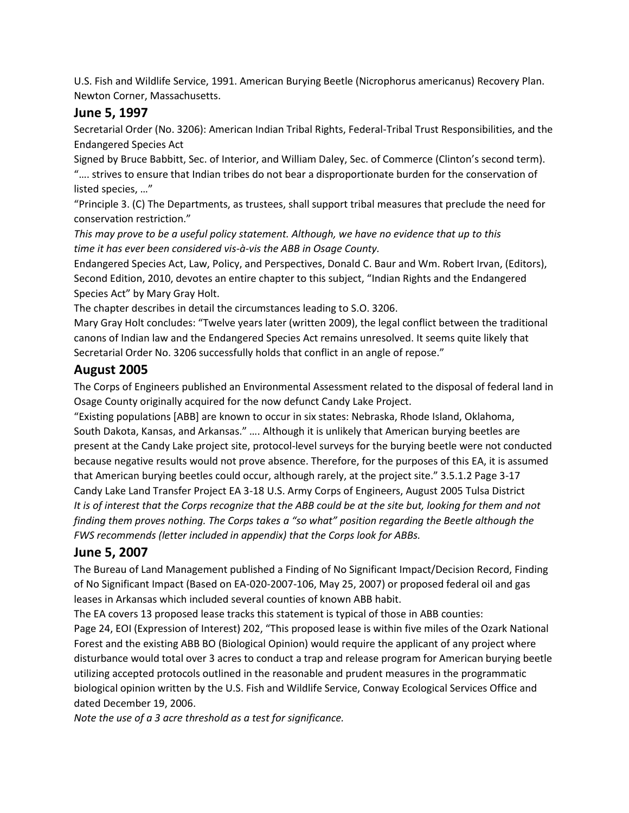U.S. Fish and Wildlife Service, 1991. American Burying Beetle (Nicrophorus americanus) Recovery Plan. Newton Corner, Massachusetts.

### **June 5, 1997**

Secretarial Order (No. 3206): American Indian Tribal Rights, Federal-Tribal Trust Responsibilities, and the Endangered Species Act

Signed by Bruce Babbitt, Sec. of Interior, and William Daley, Sec. of Commerce (Clinton's second term). "…. strives to ensure that Indian tribes do not bear a disproportionate burden for the conservation of listed species, …"

"Principle 3. (C) The Departments, as trustees, shall support tribal measures that preclude the need for conservation restriction."

*This may prove to be a useful policy statement. Although, we have no evidence that up to this time it has ever been considered vis-à-vis the ABB in Osage County.*

Endangered Species Act, Law, Policy, and Perspectives, Donald C. Baur and Wm. Robert Irvan, (Editors), Second Edition, 2010, devotes an entire chapter to this subject, "Indian Rights and the Endangered Species Act" by Mary Gray Holt.

The chapter describes in detail the circumstances leading to S.O. 3206.

Mary Gray Holt concludes: "Twelve years later (written 2009), the legal conflict between the traditional canons of Indian law and the Endangered Species Act remains unresolved. It seems quite likely that Secretarial Order No. 3206 successfully holds that conflict in an angle of repose."

### **August 2005**

The Corps of Engineers published an Environmental Assessment related to the disposal of federal land in Osage County originally acquired for the now defunct Candy Lake Project.

"Existing populations [ABB] are known to occur in six states: Nebraska, Rhode Island, Oklahoma, South Dakota, Kansas, and Arkansas." …. Although it is unlikely that American burying beetles are present at the Candy Lake project site, protocol-level surveys for the burying beetle were not conducted because negative results would not prove absence. Therefore, for the purposes of this EA, it is assumed that American burying beetles could occur, although rarely, at the project site." 3.5.1.2 Page 3-17 Candy Lake Land Transfer Project EA 3-18 U.S. Army Corps of Engineers, August 2005 Tulsa District *It is of interest that the Corps recognize that the ABB could be at the site but, looking for them and not finding them proves nothing. The Corps takes a "so what" position regarding the Beetle although the FWS recommends (letter included in appendix) that the Corps look for ABBs.*

### **June 5, 2007**

The Bureau of Land Management published a Finding of No Significant Impact/Decision Record, Finding of No Significant Impact (Based on EA-020-2007-106, May 25, 2007) or proposed federal oil and gas leases in Arkansas which included several counties of known ABB habit.

The EA covers 13 proposed lease tracks this statement is typical of those in ABB counties:

Page 24, EOI (Expression of Interest) 202, "This proposed lease is within five miles of the Ozark National Forest and the existing ABB BO (Biological Opinion) would require the applicant of any project where disturbance would total over 3 acres to conduct a trap and release program for American burying beetle utilizing accepted protocols outlined in the reasonable and prudent measures in the programmatic biological opinion written by the U.S. Fish and Wildlife Service, Conway Ecological Services Office and dated December 19, 2006.

*Note the use of a 3 acre threshold as a test for significance.*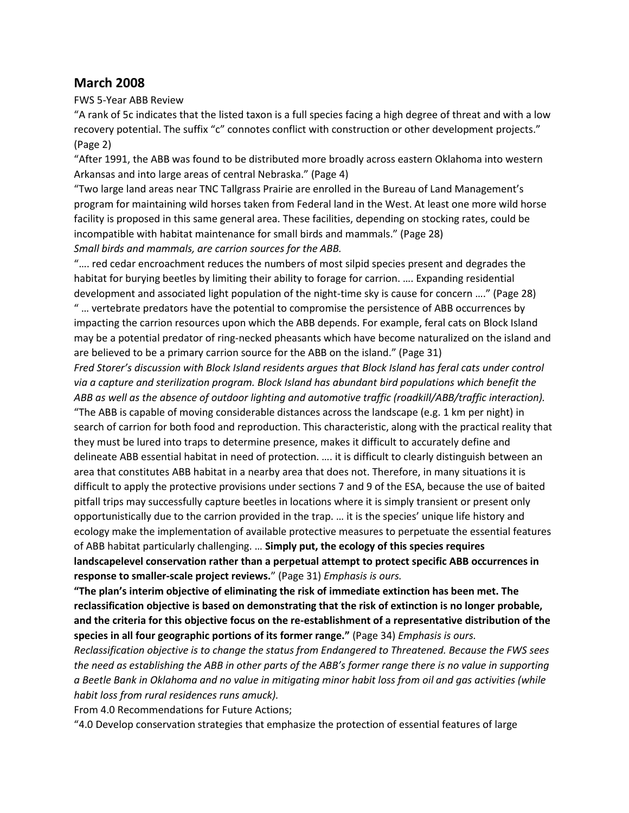#### **March 2008**

FWS 5-Year ABB Review

"A rank of 5c indicates that the listed taxon is a full species facing a high degree of threat and with a low recovery potential. The suffix "c" connotes conflict with construction or other development projects." (Page 2)

"After 1991, the ABB was found to be distributed more broadly across eastern Oklahoma into western Arkansas and into large areas of central Nebraska." (Page 4)

"Two large land areas near TNC Tallgrass Prairie are enrolled in the Bureau of Land Management's program for maintaining wild horses taken from Federal land in the West. At least one more wild horse facility is proposed in this same general area. These facilities, depending on stocking rates, could be incompatible with habitat maintenance for small birds and mammals." (Page 28) *Small birds and mammals, are carrion sources for the ABB.*

"…. red cedar encroachment reduces the numbers of most silpid species present and degrades the habitat for burying beetles by limiting their ability to forage for carrion. …. Expanding residential development and associated light population of the night-time sky is cause for concern …." (Page 28) " … vertebrate predators have the potential to compromise the persistence of ABB occurrences by impacting the carrion resources upon which the ABB depends. For example, feral cats on Block Island may be a potential predator of ring-necked pheasants which have become naturalized on the island and are believed to be a primary carrion source for the ABB on the island." (Page 31)

*Fred Storer's discussion with Block Island residents argues that Block Island has feral cats under control via a capture and sterilization program. Block Island has abundant bird populations which benefit the ABB as well as the absence of outdoor lighting and automotive traffic (roadkill/ABB/traffic interaction).*

"The ABB is capable of moving considerable distances across the landscape (e.g. 1 km per night) in search of carrion for both food and reproduction. This characteristic, along with the practical reality that they must be lured into traps to determine presence, makes it difficult to accurately define and delineate ABB essential habitat in need of protection. …. it is difficult to clearly distinguish between an area that constitutes ABB habitat in a nearby area that does not. Therefore, in many situations it is difficult to apply the protective provisions under sections 7 and 9 of the ESA, because the use of baited pitfall trips may successfully capture beetles in locations where it is simply transient or present only opportunistically due to the carrion provided in the trap. … it is the species' unique life history and ecology make the implementation of available protective measures to perpetuate the essential features of ABB habitat particularly challenging. … **Simply put, the ecology of this species requires landscapelevel conservation rather than a perpetual attempt to protect specific ABB occurrences in response to smaller-scale project reviews.**" (Page 31) *Emphasis is ours.*

**"The plan's interim objective of eliminating the risk of immediate extinction has been met. The reclassification objective is based on demonstrating that the risk of extinction is no longer probable, and the criteria for this objective focus on the re-establishment of a representative distribution of the species in all four geographic portions of its former range."** (Page 34) *Emphasis is ours.*

*Reclassification objective is to change the status from Endangered to Threatened. Because the FWS sees the need as establishing the ABB in other parts of the ABB's former range there is no value in supporting a Beetle Bank in Oklahoma and no value in mitigating minor habit loss from oil and gas activities (while habit loss from rural residences runs amuck).*

From 4.0 Recommendations for Future Actions;

"4.0 Develop conservation strategies that emphasize the protection of essential features of large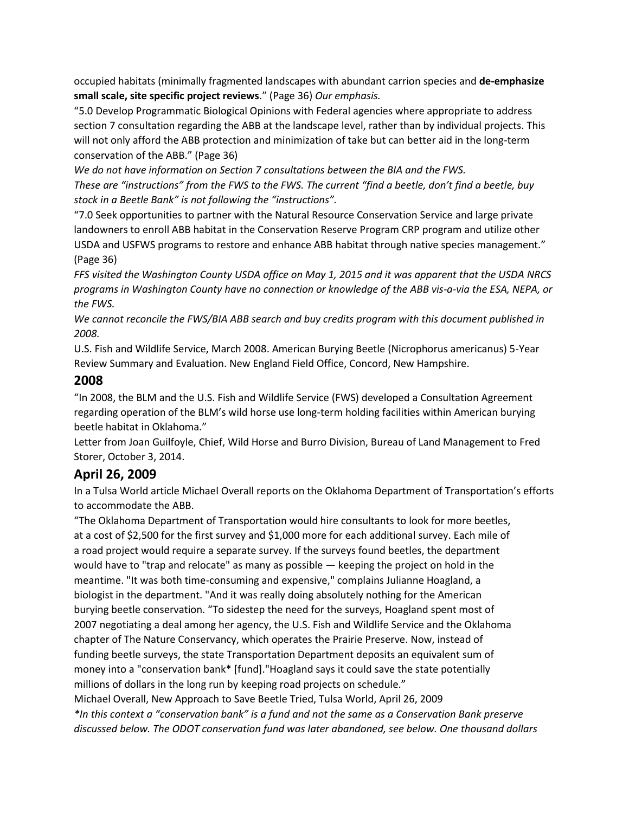occupied habitats (minimally fragmented landscapes with abundant carrion species and **de-emphasize small scale, site specific project reviews**." (Page 36) *Our emphasis.*

"5.0 Develop Programmatic Biological Opinions with Federal agencies where appropriate to address section 7 consultation regarding the ABB at the landscape level, rather than by individual projects. This will not only afford the ABB protection and minimization of take but can better aid in the long-term conservation of the ABB." (Page 36)

*We do not have information on Section 7 consultations between the BIA and the FWS. These are "instructions" from the FWS to the FWS. The current "find a beetle, don't find a beetle, buy stock in a Beetle Bank" is not following the "instructions".*

"7.0 Seek opportunities to partner with the Natural Resource Conservation Service and large private landowners to enroll ABB habitat in the Conservation Reserve Program CRP program and utilize other USDA and USFWS programs to restore and enhance ABB habitat through native species management." (Page 36)

*FFS visited the Washington County USDA office on May 1, 2015 and it was apparent that the USDA NRCS programs in Washington County have no connection or knowledge of the ABB vis-a-via the ESA, NEPA, or the FWS.*

*We cannot reconcile the FWS/BIA ABB search and buy credits program with this document published in 2008.*

U.S. Fish and Wildlife Service, March 2008. American Burying Beetle (Nicrophorus americanus) 5-Year Review Summary and Evaluation. New England Field Office, Concord, New Hampshire.

#### **2008**

"In 2008, the BLM and the U.S. Fish and Wildlife Service (FWS) developed a Consultation Agreement regarding operation of the BLM's wild horse use long-term holding facilities within American burying beetle habitat in Oklahoma."

Letter from Joan Guilfoyle, Chief, Wild Horse and Burro Division, Bureau of Land Management to Fred Storer, October 3, 2014.

### **April 26, 2009**

In a Tulsa World article Michael Overall reports on the Oklahoma Department of Transportation's efforts to accommodate the ABB.

"The Oklahoma Department of Transportation would hire consultants to look for more beetles, at a cost of \$2,500 for the first survey and \$1,000 more for each additional survey. Each mile of a road project would require a separate survey. If the surveys found beetles, the department would have to "trap and relocate" as many as possible — keeping the project on hold in the meantime. "It was both time-consuming and expensive," complains Julianne Hoagland, a biologist in the department. "And it was really doing absolutely nothing for the American burying beetle conservation. "To sidestep the need for the surveys, Hoagland spent most of 2007 negotiating a deal among her agency, the U.S. Fish and Wildlife Service and the Oklahoma chapter of The Nature Conservancy, which operates the Prairie Preserve. Now, instead of funding beetle surveys, the state Transportation Department deposits an equivalent sum of money into a "conservation bank\* [fund]."Hoagland says it could save the state potentially millions of dollars in the long run by keeping road projects on schedule."

Michael Overall, New Approach to Save Beetle Tried, Tulsa World, April 26, 2009

*\*In this context a "conservation bank" is a fund and not the same as a Conservation Bank preserve discussed below. The ODOT conservation fund was later abandoned, see below. One thousand dollars*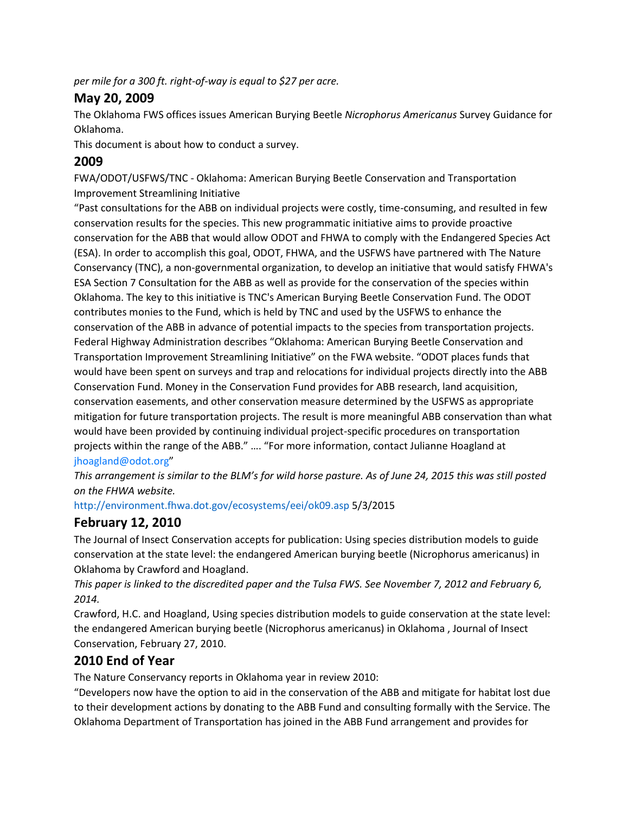*per mile for a 300 ft. right-of-way is equal to \$27 per acre.*

#### **May 20, 2009**

The Oklahoma FWS offices issues American Burying Beetle *Nicrophorus Americanus* Survey Guidance for Oklahoma.

This document is about how to conduct a survey.

### **2009**

FWA/ODOT/USFWS/TNC - Oklahoma: American Burying Beetle Conservation and Transportation Improvement Streamlining Initiative

"Past consultations for the ABB on individual projects were costly, time-consuming, and resulted in few conservation results for the species. This new programmatic initiative aims to provide proactive conservation for the ABB that would allow ODOT and FHWA to comply with the Endangered Species Act (ESA). In order to accomplish this goal, ODOT, FHWA, and the USFWS have partnered with The Nature Conservancy (TNC), a non-governmental organization, to develop an initiative that would satisfy FHWA's ESA Section 7 Consultation for the ABB as well as provide for the conservation of the species within Oklahoma. The key to this initiative is TNC's American Burying Beetle Conservation Fund. The ODOT contributes monies to the Fund, which is held by TNC and used by the USFWS to enhance the conservation of the ABB in advance of potential impacts to the species from transportation projects. Federal Highway Administration describes "Oklahoma: American Burying Beetle Conservation and Transportation Improvement Streamlining Initiative" on the FWA website. "ODOT places funds that would have been spent on surveys and trap and relocations for individual projects directly into the ABB Conservation Fund. Money in the Conservation Fund provides for ABB research, land acquisition, conservation easements, and other conservation measure determined by the USFWS as appropriate mitigation for future transportation projects. The result is more meaningful ABB conservation than what would have been provided by continuing individual project-specific procedures on transportation projects within the range of the ABB." …. "For more information, contact Julianne Hoagland at jhoagland@odot.org"

*This arrangement is similar to the BLM's for wild horse pasture. As of June 24, 2015 this was still posted on the FHWA website.*

http://environment.fhwa.dot.gov/ecosystems/eei/ok09.asp 5/3/2015

## **February 12, 2010**

The Journal of Insect Conservation accepts for publication: Using species distribution models to guide conservation at the state level: the endangered American burying beetle (Nicrophorus americanus) in Oklahoma by Crawford and Hoagland.

*This paper is linked to the discredited paper and the Tulsa FWS. See November 7, 2012 and February 6, 2014.*

Crawford, H.C. and Hoagland, Using species distribution models to guide conservation at the state level: the endangered American burying beetle (Nicrophorus americanus) in Oklahoma , Journal of Insect Conservation, February 27, 2010.

## **2010 End of Year**

The Nature Conservancy reports in Oklahoma year in review 2010:

"Developers now have the option to aid in the conservation of the ABB and mitigate for habitat lost due to their development actions by donating to the ABB Fund and consulting formally with the Service. The Oklahoma Department of Transportation has joined in the ABB Fund arrangement and provides for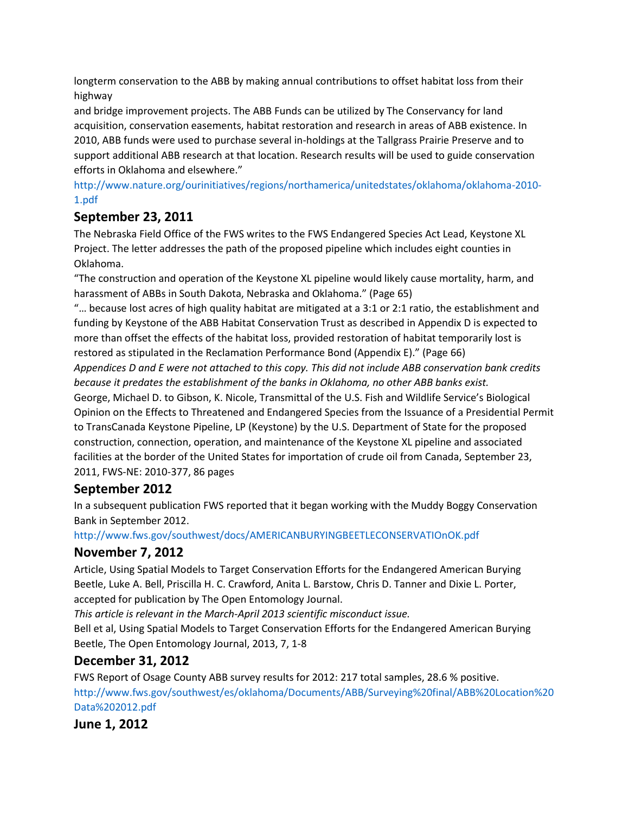longterm conservation to the ABB by making annual contributions to offset habitat loss from their highway

and bridge improvement projects. The ABB Funds can be utilized by The Conservancy for land acquisition, conservation easements, habitat restoration and research in areas of ABB existence. In 2010, ABB funds were used to purchase several in-holdings at the Tallgrass Prairie Preserve and to support additional ABB research at that location. Research results will be used to guide conservation efforts in Oklahoma and elsewhere."

http://www.nature.org/ourinitiatives/regions/northamerica/unitedstates/oklahoma/oklahoma-2010- 1.pdf

### **September 23, 2011**

The Nebraska Field Office of the FWS writes to the FWS Endangered Species Act Lead, Keystone XL Project. The letter addresses the path of the proposed pipeline which includes eight counties in Oklahoma.

"The construction and operation of the Keystone XL pipeline would likely cause mortality, harm, and harassment of ABBs in South Dakota, Nebraska and Oklahoma." (Page 65)

"… because lost acres of high quality habitat are mitigated at a 3:1 or 2:1 ratio, the establishment and funding by Keystone of the ABB Habitat Conservation Trust as described in Appendix D is expected to more than offset the effects of the habitat loss, provided restoration of habitat temporarily lost is restored as stipulated in the Reclamation Performance Bond (Appendix E)." (Page 66)

*Appendices D and E were not attached to this copy. This did not include ABB conservation bank credits because it predates the establishment of the banks in Oklahoma, no other ABB banks exist.*

George, Michael D. to Gibson, K. Nicole, Transmittal of the U.S. Fish and Wildlife Service's Biological Opinion on the Effects to Threatened and Endangered Species from the Issuance of a Presidential Permit to TransCanada Keystone Pipeline, LP (Keystone) by the U.S. Department of State for the proposed construction, connection, operation, and maintenance of the Keystone XL pipeline and associated facilities at the border of the United States for importation of crude oil from Canada, September 23, 2011, FWS-NE: 2010-377, 86 pages

## **September 2012**

In a subsequent publication FWS reported that it began working with the Muddy Boggy Conservation Bank in September 2012.

http://www.fws.gov/southwest/docs/AMERICANBURYINGBEETLECONSERVATIOnOK.pdf

## **November 7, 2012**

Article, Using Spatial Models to Target Conservation Efforts for the Endangered American Burying Beetle, Luke A. Bell, Priscilla H. C. Crawford, Anita L. Barstow, Chris D. Tanner and Dixie L. Porter, accepted for publication by The Open Entomology Journal.

*This article is relevant in the March-April 2013 scientific misconduct issue.*

Bell et al, Using Spatial Models to Target Conservation Efforts for the Endangered American Burying Beetle, The Open Entomology Journal, 2013, 7, 1-8

## **December 31, 2012**

FWS Report of Osage County ABB survey results for 2012: 217 total samples, 28.6 % positive. http://www.fws.gov/southwest/es/oklahoma/Documents/ABB/Surveying%20final/ABB%20Location%20 Data%202012.pdf

**June 1, 2012**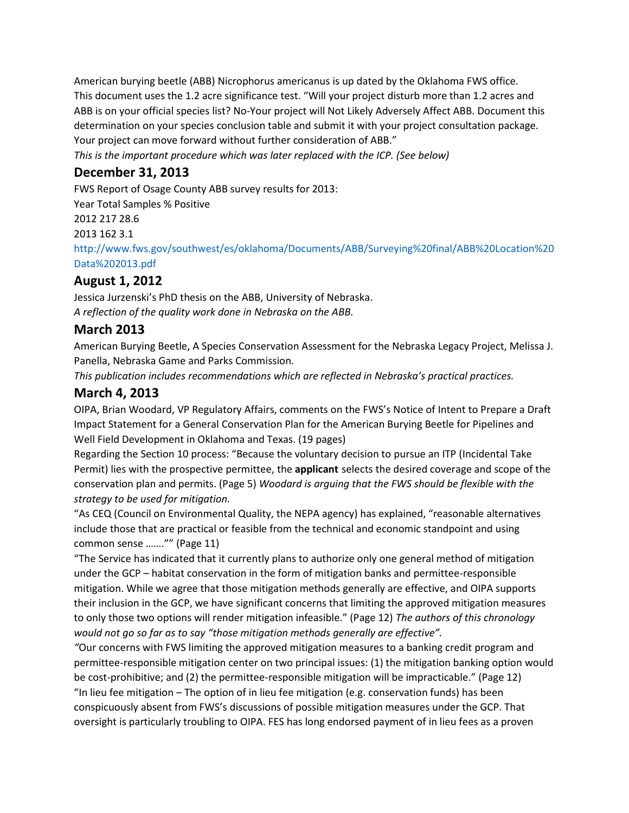American burying beetle (ABB) Nicrophorus americanus is up dated by the Oklahoma FWS office. This document uses the 1.2 acre significance test. "Will your project disturb more than 1.2 acres and ABB is on your official species list? No-Your project will Not Likely Adversely Affect ABB. Document this determination on your species conclusion table and submit it with your project consultation package. Your project can move forward without further consideration of ABB."

*This is the important procedure which was later replaced with the ICP. (See below)*

### **December 31, 2013**

FWS Report of Osage County ABB survey results for 2013: Year Total Samples % Positive 2012 217 28.6 2013 162 3.1 http://www.fws.gov/southwest/es/oklahoma/Documents/ABB/Surveying%20final/ABB%20Location%20 Data%202013.pdf

### **August 1, 2012**

Jessica Jurzenski's PhD thesis on the ABB, University of Nebraska. *A reflection of the quality work done in Nebraska on the ABB.*

## **March 2013**

American Burying Beetle, A Species Conservation Assessment for the Nebraska Legacy Project, Melissa J. Panella, Nebraska Game and Parks Commission.

*This publication includes recommendations which are reflected in Nebraska's practical practices.*

### **March 4, 2013**

OIPA, Brian Woodard, VP Regulatory Affairs, comments on the FWS's Notice of Intent to Prepare a Draft Impact Statement for a General Conservation Plan for the American Burying Beetle for Pipelines and Well Field Development in Oklahoma and Texas. (19 pages)

Regarding the Section 10 process: "Because the voluntary decision to pursue an ITP (Incidental Take Permit) lies with the prospective permittee, the **applicant** selects the desired coverage and scope of the conservation plan and permits. (Page 5) *Woodard is arguing that the FWS should be flexible with the strategy to be used for mitigation.*

"As CEQ (Council on Environmental Quality, the NEPA agency) has explained, "reasonable alternatives include those that are practical or feasible from the technical and economic standpoint and using common sense ……."" (Page 11)

"The Service has indicated that it currently plans to authorize only one general method of mitigation under the GCP – habitat conservation in the form of mitigation banks and permittee-responsible mitigation. While we agree that those mitigation methods generally are effective, and OIPA supports their inclusion in the GCP, we have significant concerns that limiting the approved mitigation measures to only those two options will render mitigation infeasible." (Page 12) *The authors of this chronology would not go so far as to say "those mitigation methods generally are effective".*

*"*Our concerns with FWS limiting the approved mitigation measures to a banking credit program and permittee-responsible mitigation center on two principal issues: (1) the mitigation banking option would be cost-prohibitive; and (2) the permittee-responsible mitigation will be impracticable." (Page 12) "In lieu fee mitigation – The option of in lieu fee mitigation (e.g. conservation funds) has been conspicuously absent from FWS's discussions of possible mitigation measures under the GCP. That oversight is particularly troubling to OIPA. FES has long endorsed payment of in lieu fees as a proven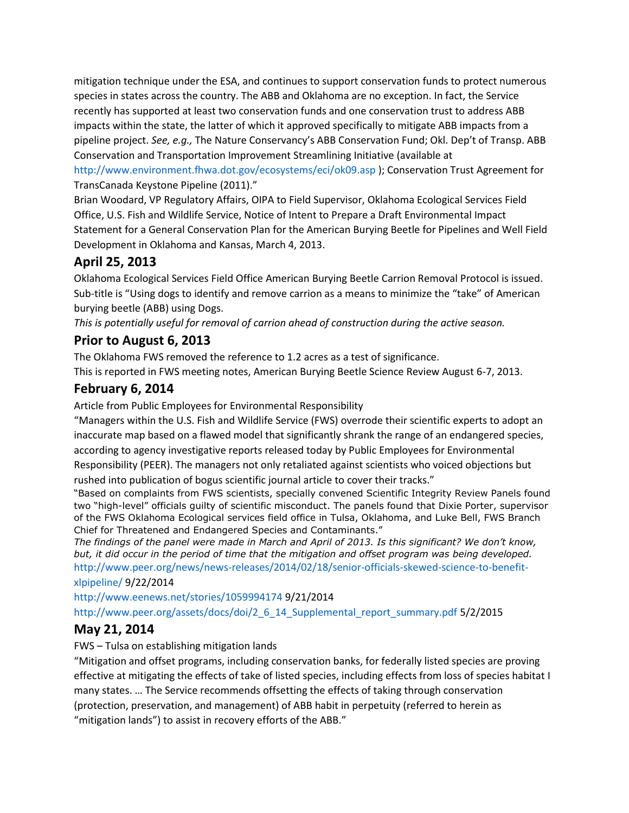mitigation technique under the ESA, and continues to support conservation funds to protect numerous species in states across the country. The ABB and Oklahoma are no exception. In fact, the Service recently has supported at least two conservation funds and one conservation trust to address ABB impacts within the state, the latter of which it approved specifically to mitigate ABB impacts from a pipeline project. *See, e.g.,* The Nature Conservancy's ABB Conservation Fund; Okl. Dep't of Transp. ABB Conservation and Transportation Improvement Streamlining Initiative (available at http://www.environment.fhwa.dot.gov/ecosystems/eci/ok09.asp ); Conservation Trust Agreement for TransCanada Keystone Pipeline (2011)."

Brian Woodard, VP Regulatory Affairs, OIPA to Field Supervisor, Oklahoma Ecological Services Field Office, U.S. Fish and Wildlife Service, Notice of Intent to Prepare a Draft Environmental Impact Statement for a General Conservation Plan for the American Burying Beetle for Pipelines and Well Field Development in Oklahoma and Kansas, March 4, 2013.

## **April 25, 2013**

Oklahoma Ecological Services Field Office American Burying Beetle Carrion Removal Protocol is issued. Sub-title is "Using dogs to identify and remove carrion as a means to minimize the "take" of American burying beetle (ABB) using Dogs.

*This is potentially useful for removal of carrion ahead of construction during the active season.*

### **Prior to August 6, 2013**

The Oklahoma FWS removed the reference to 1.2 acres as a test of significance.

This is reported in FWS meeting notes, American Burying Beetle Science Review August 6-7, 2013.

## **February 6, 2014**

Article from Public Employees for Environmental Responsibility

"Managers within the U.S. Fish and Wildlife Service (FWS) overrode their scientific experts to adopt an inaccurate map based on a flawed model that significantly shrank the range of an endangered species, according to agency investigative reports released today by Public Employees for Environmental Responsibility (PEER). The managers not only retaliated against scientists who voiced objections but rushed into publication of bogus scientific journal article to cover their tracks."

"Based on complaints from FWS scientists, specially convened Scientific Integrity Review Panels found two "high-level" officials guilty of scientific misconduct. The panels found that Dixie Porter, supervisor of the FWS Oklahoma Ecological services field office in Tulsa, Oklahoma, and Luke Bell, FWS Branch Chief for Threatened and Endangered Species and Contaminants."

*The findings of the panel were made in March and April of 2013. Is this significant? We don't know, but, it did occur in the period of time that the mitigation and offset program was being developed.* http://www.peer.org/news/news-releases/2014/02/18/senior-officials-skewed-science-to-benefitxlpipeline/ 9/22/2014

http://www.eenews.net/stories/1059994174 9/21/2014 http://www.peer.org/assets/docs/doi/2\_6\_14\_Supplemental\_report\_summary.pdf 5/2/2015

# **May 21, 2014**

FWS – Tulsa on establishing mitigation lands

"Mitigation and offset programs, including conservation banks, for federally listed species are proving effective at mitigating the effects of take of listed species, including effects from loss of species habitat I many states. … The Service recommends offsetting the effects of taking through conservation (protection, preservation, and management) of ABB habit in perpetuity (referred to herein as "mitigation lands") to assist in recovery efforts of the ABB."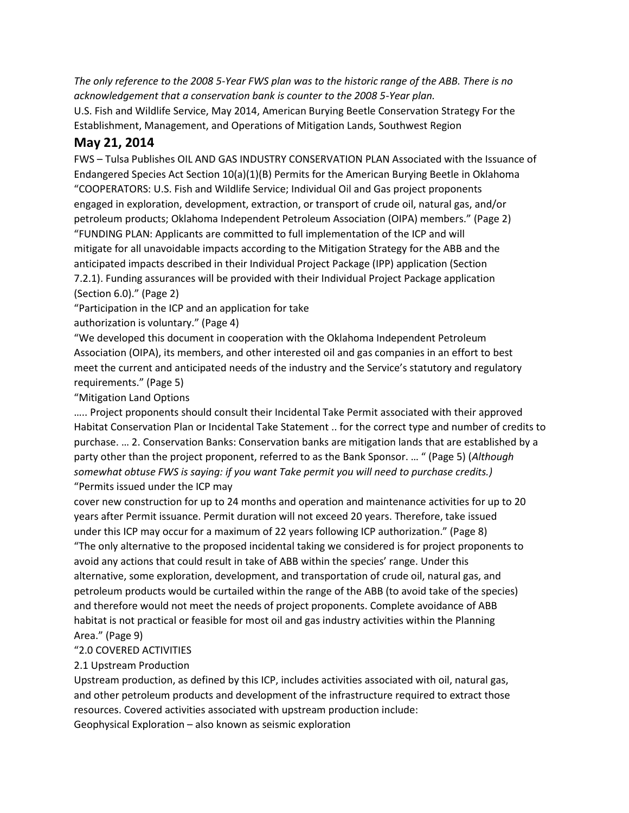*The only reference to the 2008 5-Year FWS plan was to the historic range of the ABB. There is no acknowledgement that a conservation bank is counter to the 2008 5-Year plan.*

U.S. Fish and Wildlife Service, May 2014, American Burying Beetle Conservation Strategy For the Establishment, Management, and Operations of Mitigation Lands, Southwest Region

### **May 21, 2014**

FWS – Tulsa Publishes OIL AND GAS INDUSTRY CONSERVATION PLAN Associated with the Issuance of Endangered Species Act Section 10(a)(1)(B) Permits for the American Burying Beetle in Oklahoma "COOPERATORS: U.S. Fish and Wildlife Service; Individual Oil and Gas project proponents engaged in exploration, development, extraction, or transport of crude oil, natural gas, and/or petroleum products; Oklahoma Independent Petroleum Association (OIPA) members." (Page 2) "FUNDING PLAN: Applicants are committed to full implementation of the ICP and will mitigate for all unavoidable impacts according to the Mitigation Strategy for the ABB and the anticipated impacts described in their Individual Project Package (IPP) application (Section 7.2.1). Funding assurances will be provided with their Individual Project Package application (Section 6.0)." (Page 2)

"Participation in the ICP and an application for take

authorization is voluntary." (Page 4)

"We developed this document in cooperation with the Oklahoma Independent Petroleum Association (OIPA), its members, and other interested oil and gas companies in an effort to best meet the current and anticipated needs of the industry and the Service's statutory and regulatory requirements." (Page 5)

"Mitigation Land Options

….. Project proponents should consult their Incidental Take Permit associated with their approved Habitat Conservation Plan or Incidental Take Statement .. for the correct type and number of credits to purchase. … 2. Conservation Banks: Conservation banks are mitigation lands that are established by a party other than the project proponent, referred to as the Bank Sponsor. … " (Page 5) (*Although somewhat obtuse FWS is saying: if you want Take permit you will need to purchase credits.)* "Permits issued under the ICP may

cover new construction for up to 24 months and operation and maintenance activities for up to 20 years after Permit issuance. Permit duration will not exceed 20 years. Therefore, take issued under this ICP may occur for a maximum of 22 years following ICP authorization." (Page 8) "The only alternative to the proposed incidental taking we considered is for project proponents to avoid any actions that could result in take of ABB within the species' range. Under this alternative, some exploration, development, and transportation of crude oil, natural gas, and petroleum products would be curtailed within the range of the ABB (to avoid take of the species) and therefore would not meet the needs of project proponents. Complete avoidance of ABB habitat is not practical or feasible for most oil and gas industry activities within the Planning Area." (Page 9)

#### "2.0 COVERED ACTIVITIES

#### 2.1 Upstream Production

Upstream production, as defined by this ICP, includes activities associated with oil, natural gas, and other petroleum products and development of the infrastructure required to extract those resources. Covered activities associated with upstream production include: Geophysical Exploration – also known as seismic exploration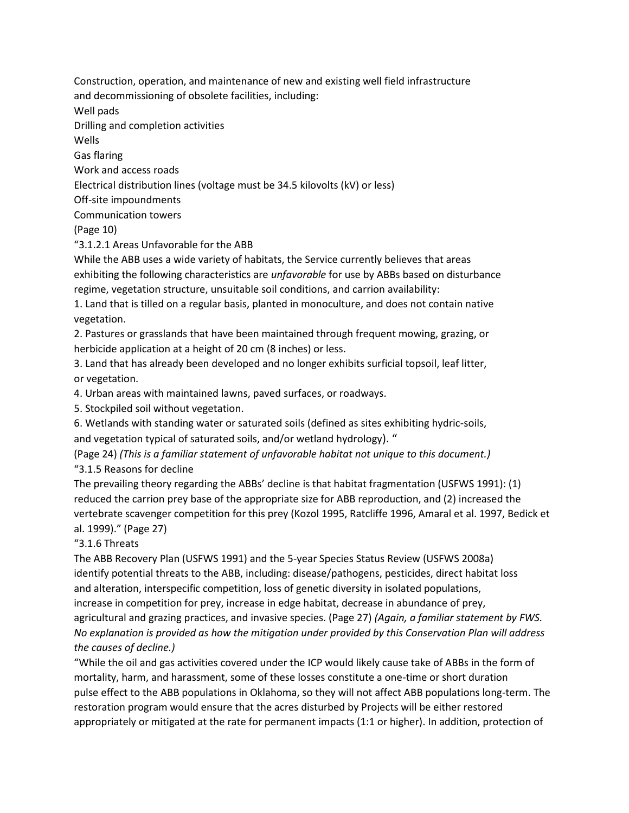Construction, operation, and maintenance of new and existing well field infrastructure and decommissioning of obsolete facilities, including: Well pads Drilling and completion activities Wells Gas flaring Work and access roads Electrical distribution lines (voltage must be 34.5 kilovolts (kV) or less) Off-site impoundments Communication towers (Page 10) "3.1.2.1 Areas Unfavorable for the ABB While the ABB uses a wide variety of habitats, the Service currently believes that areas exhibiting the following characteristics are *unfavorable* for use by ABBs based on disturbance regime, vegetation structure, unsuitable soil conditions, and carrion availability: 1. Land that is tilled on a regular basis, planted in monoculture, and does not contain native vegetation.

2. Pastures or grasslands that have been maintained through frequent mowing, grazing, or herbicide application at a height of 20 cm (8 inches) or less.

3. Land that has already been developed and no longer exhibits surficial topsoil, leaf litter, or vegetation.

4. Urban areas with maintained lawns, paved surfaces, or roadways.

5. Stockpiled soil without vegetation.

6. Wetlands with standing water or saturated soils (defined as sites exhibiting hydric-soils,

and vegetation typical of saturated soils, and/or wetland hydrology). "

(Page 24) *(This is a familiar statement of unfavorable habitat not unique to this document.)* "3.1.5 Reasons for decline

The prevailing theory regarding the ABBs' decline is that habitat fragmentation (USFWS 1991): (1) reduced the carrion prey base of the appropriate size for ABB reproduction, and (2) increased the vertebrate scavenger competition for this prey (Kozol 1995, Ratcliffe 1996, Amaral et al. 1997, Bedick et al. 1999)." (Page 27)

#### "3.1.6 Threats

The ABB Recovery Plan (USFWS 1991) and the 5-year Species Status Review (USFWS 2008a) identify potential threats to the ABB, including: disease/pathogens, pesticides, direct habitat loss and alteration, interspecific competition, loss of genetic diversity in isolated populations, increase in competition for prey, increase in edge habitat, decrease in abundance of prey, agricultural and grazing practices, and invasive species. (Page 27) *(Again, a familiar statement by FWS. No explanation is provided as how the mitigation under provided by this Conservation Plan will address the causes of decline.)*

"While the oil and gas activities covered under the ICP would likely cause take of ABBs in the form of mortality, harm, and harassment, some of these losses constitute a one-time or short duration pulse effect to the ABB populations in Oklahoma, so they will not affect ABB populations long-term. The restoration program would ensure that the acres disturbed by Projects will be either restored appropriately or mitigated at the rate for permanent impacts (1:1 or higher). In addition, protection of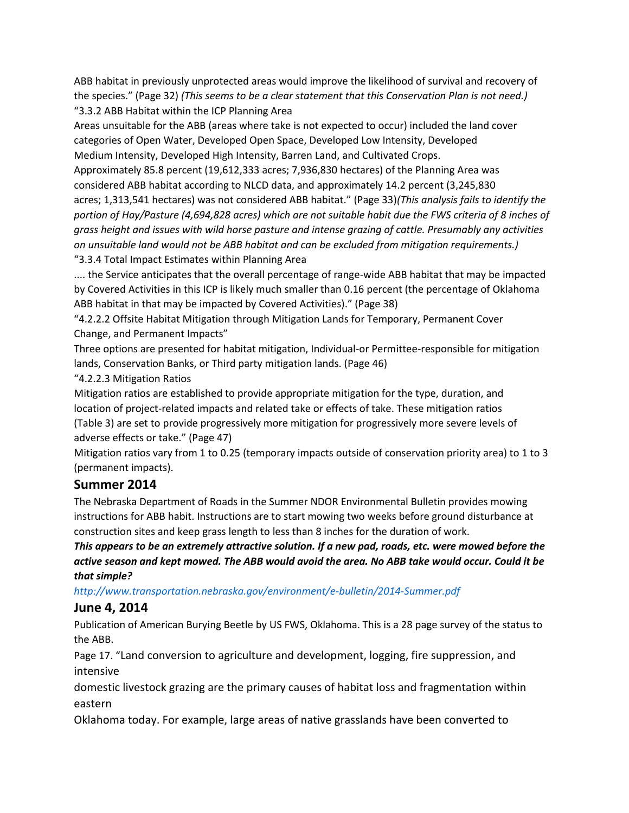ABB habitat in previously unprotected areas would improve the likelihood of survival and recovery of the species." (Page 32) *(This seems to be a clear statement that this Conservation Plan is not need.)* "3.3.2 ABB Habitat within the ICP Planning Area

Areas unsuitable for the ABB (areas where take is not expected to occur) included the land cover categories of Open Water, Developed Open Space, Developed Low Intensity, Developed Medium Intensity, Developed High Intensity, Barren Land, and Cultivated Crops.

Approximately 85.8 percent (19,612,333 acres; 7,936,830 hectares) of the Planning Area was considered ABB habitat according to NLCD data, and approximately 14.2 percent (3,245,830 acres; 1,313,541 hectares) was not considered ABB habitat." (Page 33)*(This analysis fails to identify the portion of Hay/Pasture (4,694,828 acres) which are not suitable habit due the FWS criteria of 8 inches of grass height and issues with wild horse pasture and intense grazing of cattle. Presumably any activities on unsuitable land would not be ABB habitat and can be excluded from mitigation requirements.)* "3.3.4 Total Impact Estimates within Planning Area

.... the Service anticipates that the overall percentage of range-wide ABB habitat that may be impacted by Covered Activities in this ICP is likely much smaller than 0.16 percent (the percentage of Oklahoma ABB habitat in that may be impacted by Covered Activities)." (Page 38)

"4.2.2.2 Offsite Habitat Mitigation through Mitigation Lands for Temporary, Permanent Cover Change, and Permanent Impacts"

Three options are presented for habitat mitigation, Individual-or Permittee-responsible for mitigation lands, Conservation Banks, or Third party mitigation lands. (Page 46)

"4.2.2.3 Mitigation Ratios

Mitigation ratios are established to provide appropriate mitigation for the type, duration, and location of project-related impacts and related take or effects of take. These mitigation ratios (Table 3) are set to provide progressively more mitigation for progressively more severe levels of adverse effects or take." (Page 47)

Mitigation ratios vary from 1 to 0.25 (temporary impacts outside of conservation priority area) to 1 to 3 (permanent impacts).

## **Summer 2014**

The Nebraska Department of Roads in the Summer NDOR Environmental Bulletin provides mowing instructions for ABB habit. Instructions are to start mowing two weeks before ground disturbance at construction sites and keep grass length to less than 8 inches for the duration of work.

*This appears to be an extremely attractive solution. If a new pad, roads, etc. were mowed before the active season and kept mowed. The ABB would avoid the area. No ABB take would occur. Could it be that simple?*

*http://www.transportation.nebraska.gov/environment/e-bulletin/2014-Summer.pdf*

### **June 4, 2014**

Publication of American Burying Beetle by US FWS, Oklahoma. This is a 28 page survey of the status to the ABB.

Page 17. "Land conversion to agriculture and development, logging, fire suppression, and intensive

domestic livestock grazing are the primary causes of habitat loss and fragmentation within eastern

Oklahoma today. For example, large areas of native grasslands have been converted to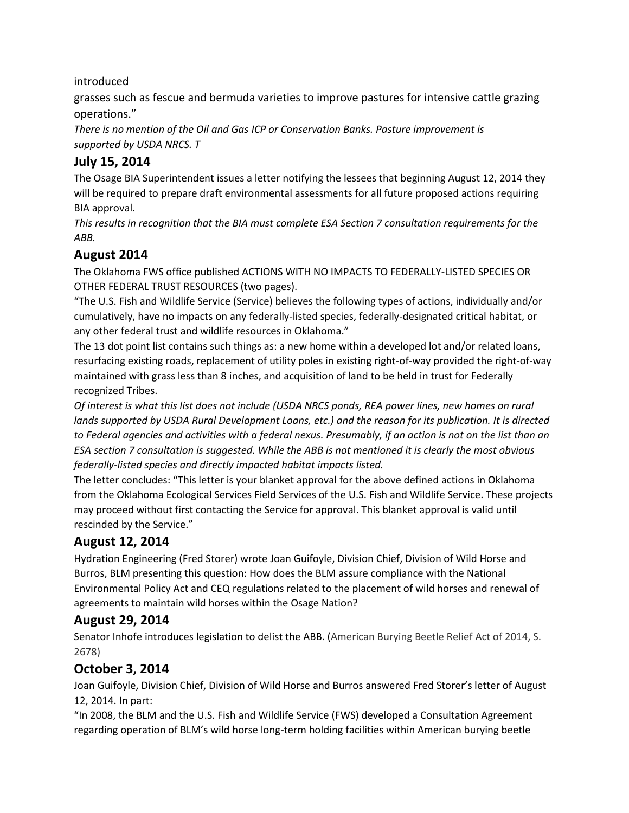#### introduced

grasses such as fescue and bermuda varieties to improve pastures for intensive cattle grazing operations."

*There is no mention of the Oil and Gas ICP or Conservation Banks. Pasture improvement is supported by USDA NRCS. T*

## **July 15, 2014**

The Osage BIA Superintendent issues a letter notifying the lessees that beginning August 12, 2014 they will be required to prepare draft environmental assessments for all future proposed actions requiring BIA approval.

*This results in recognition that the BIA must complete ESA Section 7 consultation requirements for the ABB.*

### **August 2014**

The Oklahoma FWS office published ACTIONS WITH NO IMPACTS TO FEDERALLY-LISTED SPECIES OR OTHER FEDERAL TRUST RESOURCES (two pages).

"The U.S. Fish and Wildlife Service (Service) believes the following types of actions, individually and/or cumulatively, have no impacts on any federally-listed species, federally-designated critical habitat, or any other federal trust and wildlife resources in Oklahoma."

The 13 dot point list contains such things as: a new home within a developed lot and/or related loans, resurfacing existing roads, replacement of utility poles in existing right-of-way provided the right-of-way maintained with grass less than 8 inches, and acquisition of land to be held in trust for Federally recognized Tribes.

*Of interest is what this list does not include (USDA NRCS ponds, REA power lines, new homes on rural lands supported by USDA Rural Development Loans, etc.) and the reason for its publication. It is directed to Federal agencies and activities with a federal nexus. Presumably, if an action is not on the list than an ESA section 7 consultation is suggested. While the ABB is not mentioned it is clearly the most obvious federally-listed species and directly impacted habitat impacts listed.*

The letter concludes: "This letter is your blanket approval for the above defined actions in Oklahoma from the Oklahoma Ecological Services Field Services of the U.S. Fish and Wildlife Service. These projects may proceed without first contacting the Service for approval. This blanket approval is valid until rescinded by the Service."

## **August 12, 2014**

Hydration Engineering (Fred Storer) wrote Joan Guifoyle, Division Chief, Division of Wild Horse and Burros, BLM presenting this question: How does the BLM assure compliance with the National Environmental Policy Act and CEQ regulations related to the placement of wild horses and renewal of agreements to maintain wild horses within the Osage Nation?

## **August 29, 2014**

Senator Inhofe introduces legislation to delist the ABB. (American Burying Beetle Relief Act of 2014, S. 2678)

## **October 3, 2014**

Joan Guifoyle, Division Chief, Division of Wild Horse and Burros answered Fred Storer's letter of August 12, 2014. In part:

"In 2008, the BLM and the U.S. Fish and Wildlife Service (FWS) developed a Consultation Agreement regarding operation of BLM's wild horse long-term holding facilities within American burying beetle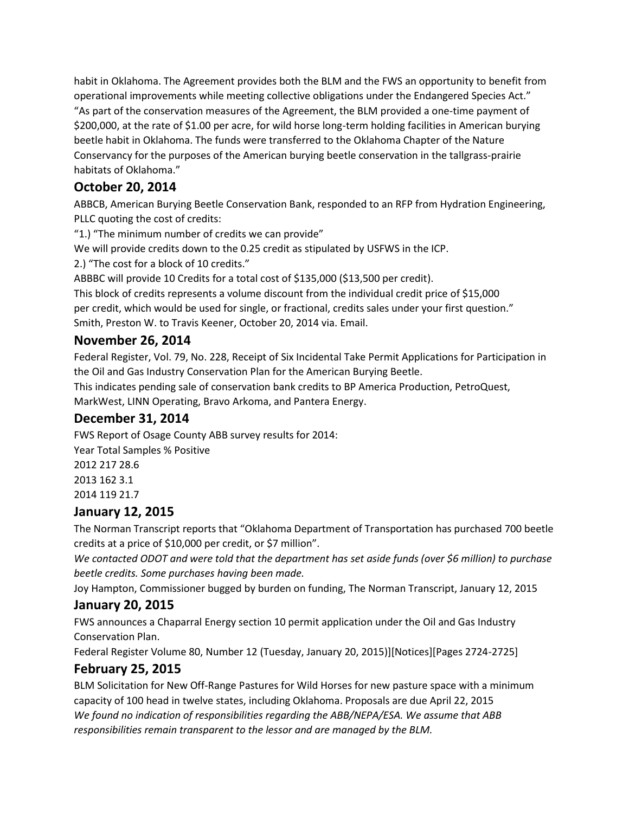habit in Oklahoma. The Agreement provides both the BLM and the FWS an opportunity to benefit from operational improvements while meeting collective obligations under the Endangered Species Act." "As part of the conservation measures of the Agreement, the BLM provided a one-time payment of \$200,000, at the rate of \$1.00 per acre, for wild horse long-term holding facilities in American burying beetle habit in Oklahoma. The funds were transferred to the Oklahoma Chapter of the Nature Conservancy for the purposes of the American burying beetle conservation in the tallgrass-prairie habitats of Oklahoma."

# **October 20, 2014**

ABBCB, American Burying Beetle Conservation Bank, responded to an RFP from Hydration Engineering, PLLC quoting the cost of credits:

"1.) "The minimum number of credits we can provide"

We will provide credits down to the 0.25 credit as stipulated by USFWS in the ICP.

2.) "The cost for a block of 10 credits."

ABBBC will provide 10 Credits for a total cost of \$135,000 (\$13,500 per credit).

This block of credits represents a volume discount from the individual credit price of \$15,000 per credit, which would be used for single, or fractional, credits sales under your first question." Smith, Preston W. to Travis Keener, October 20, 2014 via. Email.

### **November 26, 2014**

Federal Register, Vol. 79, No. 228, Receipt of Six Incidental Take Permit Applications for Participation in the Oil and Gas Industry Conservation Plan for the American Burying Beetle.

This indicates pending sale of conservation bank credits to BP America Production, PetroQuest, MarkWest, LINN Operating, Bravo Arkoma, and Pantera Energy.

## **December 31, 2014**

FWS Report of Osage County ABB survey results for 2014: Year Total Samples % Positive 2012 217 28.6 2013 162 3.1 2014 119 21.7

## **January 12, 2015**

The Norman Transcript reports that "Oklahoma Department of Transportation has purchased 700 beetle credits at a price of \$10,000 per credit, or \$7 million".

*We contacted ODOT and were told that the department has set aside funds (over \$6 million) to purchase beetle credits. Some purchases having been made.*

Joy Hampton, Commissioner bugged by burden on funding, The Norman Transcript, January 12, 2015

## **January 20, 2015**

FWS announces a Chaparral Energy section 10 permit application under the Oil and Gas Industry Conservation Plan.

Federal Register Volume 80, Number 12 (Tuesday, January 20, 2015)][Notices][Pages 2724-2725]

### **February 25, 2015**

BLM Solicitation for New Off-Range Pastures for Wild Horses for new pasture space with a minimum capacity of 100 head in twelve states, including Oklahoma. Proposals are due April 22, 2015 *We found no indication of responsibilities regarding the ABB/NEPA/ESA. We assume that ABB responsibilities remain transparent to the lessor and are managed by the BLM.*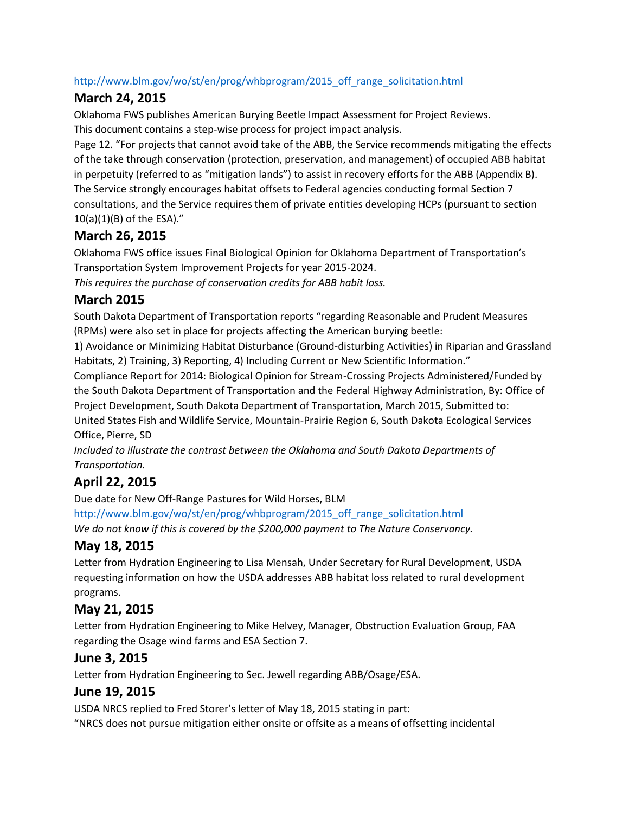#### http://www.blm.gov/wo/st/en/prog/whbprogram/2015\_off\_range\_solicitation.html

### **March 24, 2015**

Oklahoma FWS publishes American Burying Beetle Impact Assessment for Project Reviews. This document contains a step-wise process for project impact analysis.

Page 12. "For projects that cannot avoid take of the ABB, the Service recommends mitigating the effects of the take through conservation (protection, preservation, and management) of occupied ABB habitat in perpetuity (referred to as "mitigation lands") to assist in recovery efforts for the ABB (Appendix B). The Service strongly encourages habitat offsets to Federal agencies conducting formal Section 7 consultations, and the Service requires them of private entities developing HCPs (pursuant to section 10(a)(1)(B) of the ESA)."

## **March 26, 2015**

Oklahoma FWS office issues Final Biological Opinion for Oklahoma Department of Transportation's Transportation System Improvement Projects for year 2015-2024.

*This requires the purchase of conservation credits for ABB habit loss.*

### **March 2015**

South Dakota Department of Transportation reports "regarding Reasonable and Prudent Measures (RPMs) were also set in place for projects affecting the American burying beetle:

1) Avoidance or Minimizing Habitat Disturbance (Ground-disturbing Activities) in Riparian and Grassland Habitats, 2) Training, 3) Reporting, 4) Including Current or New Scientific Information."

Compliance Report for 2014: Biological Opinion for Stream-Crossing Projects Administered/Funded by the South Dakota Department of Transportation and the Federal Highway Administration, By: Office of Project Development, South Dakota Department of Transportation, March 2015, Submitted to: United States Fish and Wildlife Service, Mountain-Prairie Region 6, South Dakota Ecological Services Office, Pierre, SD

*Included to illustrate the contrast between the Oklahoma and South Dakota Departments of Transportation.*

# **April 22, 2015**

Due date for New Off-Range Pastures for Wild Horses, BLM

http://www.blm.gov/wo/st/en/prog/whbprogram/2015\_off\_range\_solicitation.html *We do not know if this is covered by the \$200,000 payment to The Nature Conservancy.*

# **May 18, 2015**

Letter from Hydration Engineering to Lisa Mensah, Under Secretary for Rural Development, USDA requesting information on how the USDA addresses ABB habitat loss related to rural development programs.

## **May 21, 2015**

Letter from Hydration Engineering to Mike Helvey, Manager, Obstruction Evaluation Group, FAA regarding the Osage wind farms and ESA Section 7.

## **June 3, 2015**

Letter from Hydration Engineering to Sec. Jewell regarding ABB/Osage/ESA.

## **June 19, 2015**

USDA NRCS replied to Fred Storer's letter of May 18, 2015 stating in part: "NRCS does not pursue mitigation either onsite or offsite as a means of offsetting incidental